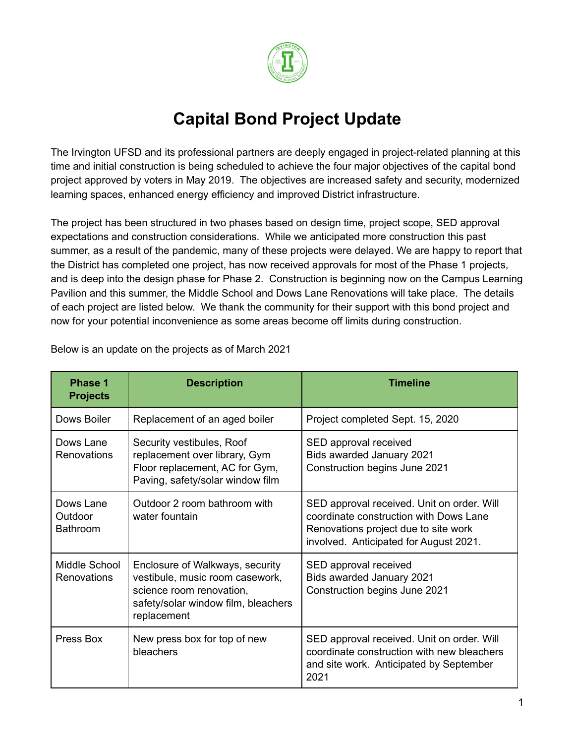

## **Capital Bond Project Update**

The Irvington UFSD and its professional partners are deeply engaged in project-related planning at this time and initial construction is being scheduled to achieve the four major objectives of the capital bond project approved by voters in May 2019. The objectives are increased safety and security, modernized learning spaces, enhanced energy efficiency and improved District infrastructure.

The project has been structured in two phases based on design time, project scope, SED approval expectations and construction considerations. While we anticipated more construction this past summer, as a result of the pandemic, many of these projects were delayed. We are happy to report that the District has completed one project, has now received approvals for most of the Phase 1 projects, and is deep into the design phase for Phase 2. Construction is beginning now on the Campus Learning Pavilion and this summer, the Middle School and Dows Lane Renovations will take place. The details of each project are listed below. We thank the community for their support with this bond project and now for your potential inconvenience as some areas become off limits during construction.

| <b>Phase 1</b><br><b>Projects</b>       | <b>Description</b>                                                                                                                                   | Timeline                                                                                                                                                               |
|-----------------------------------------|------------------------------------------------------------------------------------------------------------------------------------------------------|------------------------------------------------------------------------------------------------------------------------------------------------------------------------|
| Dows Boiler                             | Replacement of an aged boiler                                                                                                                        | Project completed Sept. 15, 2020                                                                                                                                       |
| Dows Lane<br>Renovations                | Security vestibules, Roof<br>replacement over library, Gym<br>Floor replacement, AC for Gym,<br>Paving, safety/solar window film                     | SED approval received<br>Bids awarded January 2021<br>Construction begins June 2021                                                                                    |
| Dows Lane<br>Outdoor<br><b>Bathroom</b> | Outdoor 2 room bathroom with<br>water fountain                                                                                                       | SED approval received. Unit on order. Will<br>coordinate construction with Dows Lane<br>Renovations project due to site work<br>involved. Anticipated for August 2021. |
| Middle School<br><b>Renovations</b>     | Enclosure of Walkways, security<br>vestibule, music room casework,<br>science room renovation,<br>safety/solar window film, bleachers<br>replacement | SED approval received<br>Bids awarded January 2021<br>Construction begins June 2021                                                                                    |
| Press Box                               | New press box for top of new<br>bleachers                                                                                                            | SED approval received. Unit on order. Will<br>coordinate construction with new bleachers<br>and site work. Anticipated by September<br>2021                            |

Below is an update on the projects as of March 2021